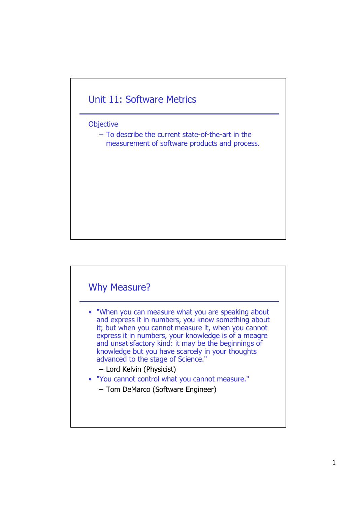## Unit 11: Software Metrics

**Objective** 

– To describe the current state-of-the-art in the measurement of software products and process.

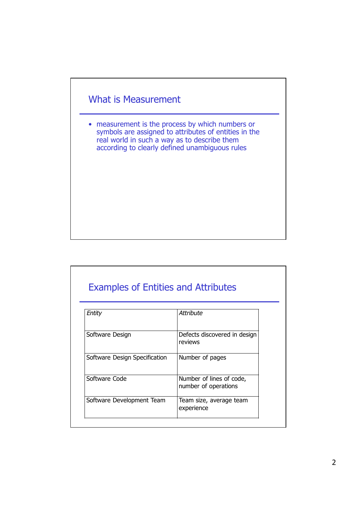

• measurement is the process by which numbers or symbols are assigned to attributes of entities in the real world in such a way as to describe them according to clearly defined unambiguous rules

## Examples of Entities and Attributes

| Entity                        | Attribute                                        |
|-------------------------------|--------------------------------------------------|
| Software Design               | Defects discovered in design<br>reviews          |
| Software Design Specification | Number of pages                                  |
| Software Code                 | Number of lines of code,<br>number of operations |
| Software Development Team     | Team size, average team<br>experience            |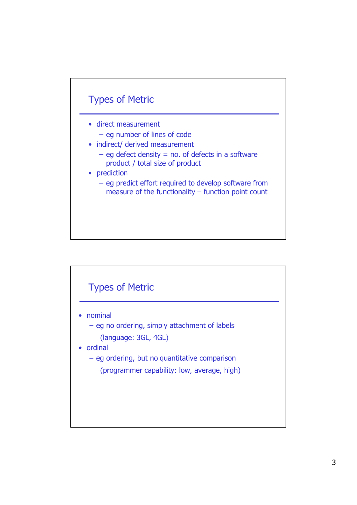

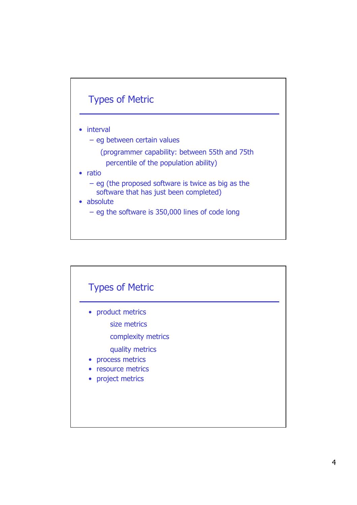

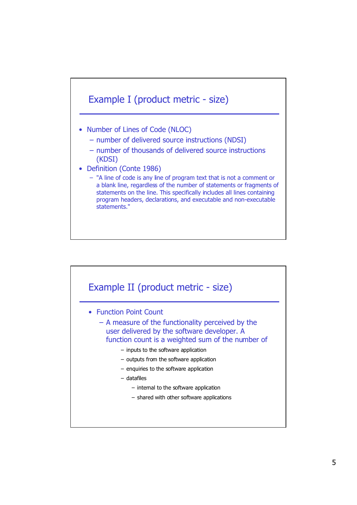

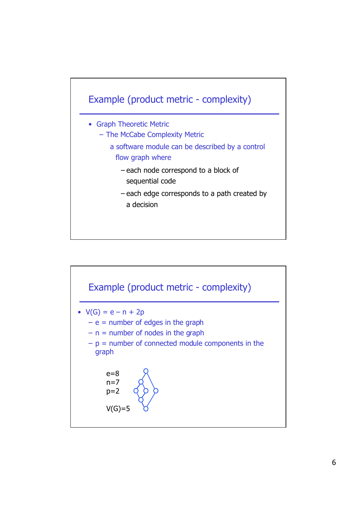

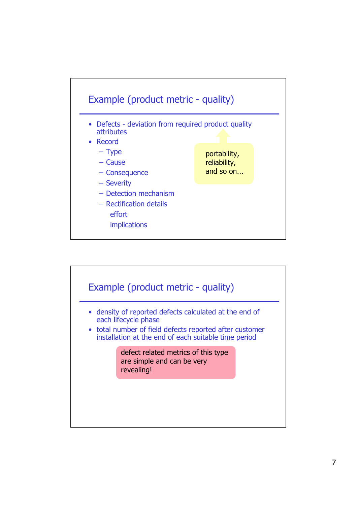

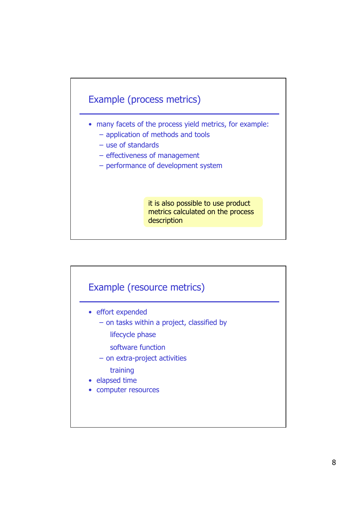

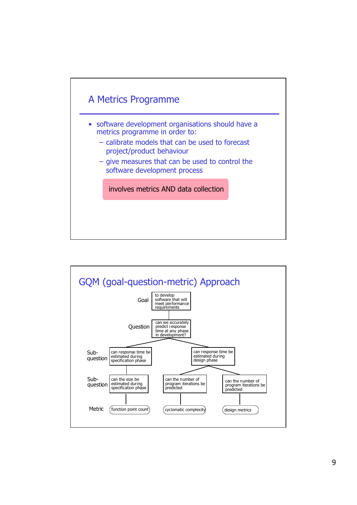